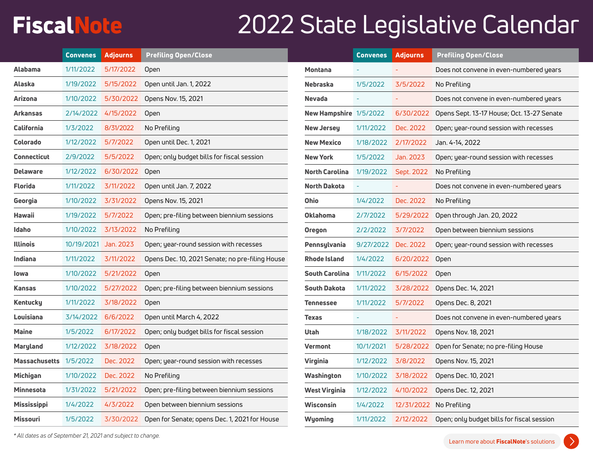## **FiscalNote**

## 2022 State Legislative Calendar

|                        | <b>Convenes</b>      | <b>Adjourns</b>     | <b>Prefiling Open/Close</b>                     |                        | <b>Convenes</b> | <b>Adjourns</b> | <b>Prefiling Open/Close</b>                |
|------------------------|----------------------|---------------------|-------------------------------------------------|------------------------|-----------------|-----------------|--------------------------------------------|
| <b>Alabama</b>         | 1/11/2022            | 5/17/2022           | Open                                            | <b>Montana</b>         |                 |                 | Does not convene in even-numbered years    |
| Alaska                 | 1/19/2022            | 5/15/2022           | Open until Jan. 1, 2022                         | <b>Nebraska</b>        | 1/5/2022        | 3/5/2022        | No Prefiling                               |
| Arizona                | 1/10/2022            | 5/30/2022           | Opens Nov. 15, 2021                             | <b>Nevada</b>          |                 |                 | Does not convene in even-numbered years    |
| Arkansas               |                      | 2/14/2022 4/15/2022 | Open                                            | New Hampshire 1/5/2022 |                 | 6/30/2022       | Opens Sept. 13-17 House; Oct. 13-27 Senate |
| California             | 1/3/2022             | 8/31/2022           | No Prefiling                                    | <b>New Jersey</b>      | 1/11/2022       | Dec. 2022       | Open; year-round session with recesses     |
| <b>Colorado</b>        | 1/12/2022            | 5/7/2022            | Open until Dec. 1, 2021                         | <b>New Mexico</b>      | 1/18/2022       | 2/17/2022       | Jan. 4-14, 2022                            |
| <b>Connecticut</b>     | 2/9/2022             | 5/5/2022            | Open; only budget bills for fiscal session      | <b>New York</b>        | 1/5/2022        | Jan. 2023       | Open; year-round session with recesses     |
| <b>Delaware</b>        | 1/12/2022            | 6/30/2022 Open      |                                                 | <b>North Carolina</b>  | 1/19/2022       | Sept. 2022      | No Prefiling                               |
| Florida                | 1/11/2022            | 3/11/2022           | Open until Jan. 7, 2022                         | <b>North Dakota</b>    |                 |                 | Does not convene in even-numbered years    |
| Georgia                | 1/10/2022            | 3/31/2022           | Opens Nov. 15, 2021                             | Ohio                   | 1/4/2022        | Dec. 2022       | No Prefiling                               |
| <b>Hawaii</b>          | 1/19/2022            | 5/7/2022            | Open; pre-filing between biennium sessions      | <b>Oklahoma</b>        | 2/7/2022        | 5/29/2022       | Open through Jan. 20, 2022                 |
| Idaho                  | 1/10/2022            | 3/13/2022           | No Prefiling                                    | <b>Oregon</b>          | 2/2/2022        | 3/7/2022        | Open between biennium sessions             |
| <b>Illinois</b>        | 10/19/2021 Jan. 2023 |                     | Open; year-round session with recesses          | Pennsylvania           | 9/27/2022       | Dec. 2022       | Open; year-round session with recesses     |
| Indiana                | 1/11/2022            | 3/11/2022           | Opens Dec. 10, 2021 Senate; no pre-filing House | <b>Rhode Island</b>    | 1/4/2022        | 6/20/2022       | Open                                       |
| lowa                   | 1/10/2022            | 5/21/2022           | Open                                            | <b>South Carolina</b>  | 1/11/2022       | 6/15/2022       | Open                                       |
| <b>Kansas</b>          |                      | 1/10/2022 5/27/2022 | Open; pre-filing between biennium sessions      | <b>South Dakota</b>    | 1/11/2022       | 3/28/2022       | Opens Dec. 14, 2021                        |
| <b>Kentucky</b>        | 1/11/2022            | 3/18/2022           | Open                                            | <b>Tennessee</b>       | 1/11/2022       | 5/7/2022        | Opens Dec. 8, 2021                         |
| Louisiana              | 3/14/2022            | 6/6/2022            | Open until March 4, 2022                        | <b>Texas</b>           |                 |                 | Does not convene in even-numbered years    |
| <b>Maine</b>           | 1/5/2022             | 6/17/2022           | Open; only budget bills for fiscal session      | <b>Utah</b>            | 1/18/2022       | 3/11/2022       | Opens Nov. 18, 2021                        |
| Maryland               | 1/12/2022            | 3/18/2022           | Open                                            | Vermont                | 10/1/2021       | 5/28/2022       | Open for Senate; no pre-filing House       |
| Massachusetts 1/5/2022 |                      | Dec. 2022           | Open; year-round session with recesses          | Virginia               | 1/12/2022       | 3/8/2022        | Opens Nov. 15, 2021                        |
| <b>Michigan</b>        | 1/10/2022            | Dec. 2022           | No Prefiling                                    | Washington             | 1/10/2022       | 3/18/2022       | Opens Dec. 10, 2021                        |
| <b>Minnesota</b>       | 1/31/2022            | 5/21/2022           | Open; pre-filing between biennium sessions      | <b>West Virginia</b>   | 1/12/2022       | 4/10/2022       | Opens Dec. 12, 2021                        |
| <b>Mississippi</b>     | 1/4/2022             | 4/3/2022            | Open between biennium sessions                  | <b>Wisconsin</b>       | 1/4/2022        |                 | 12/31/2022 No Prefiling                    |
| <b>Missouri</b>        | 1/5/2022             | 3/30/2022           | Open for Senate; opens Dec. 1, 2021 for House   | <b>Wyoming</b>         | 1/11/2022       | 2/12/2022       | Open; only budget bills for fiscal session |
|                        |                      |                     |                                                 |                        |                 |                 |                                            |

*\* All dates as of September 21, 2021 and subject to change.*

 $\mathcal{E}$